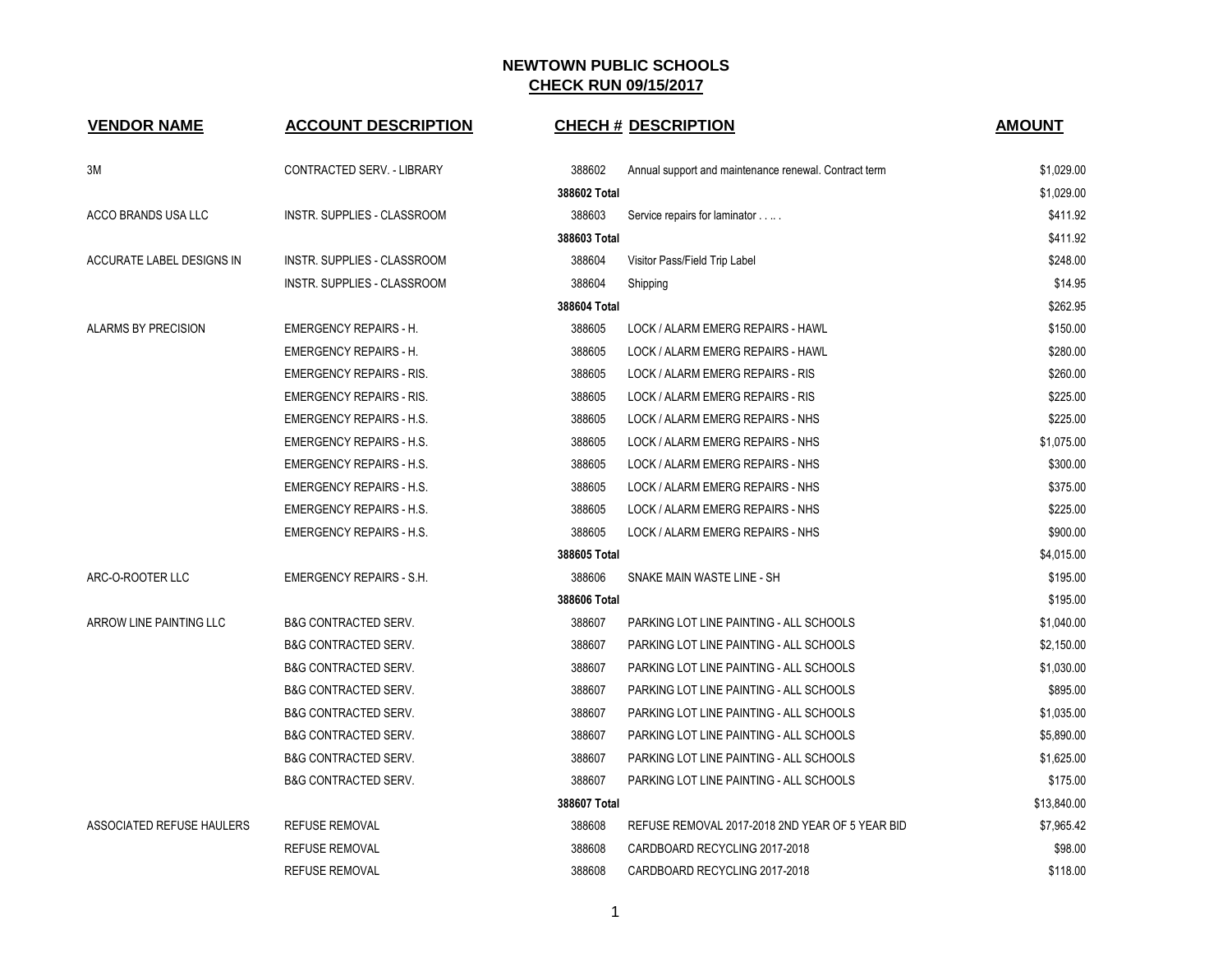| <b>VENDOR NAME</b>               | <b>ACCOUNT DESCRIPTION</b>      |              | <b>CHECH # DESCRIPTION</b>                            | <b>AMOUNT</b> |
|----------------------------------|---------------------------------|--------------|-------------------------------------------------------|---------------|
|                                  |                                 |              |                                                       |               |
| ЗM                               | CONTRACTED SERV. - LIBRARY      | 388602       | Annual support and maintenance renewal. Contract term | \$1,029.00    |
|                                  |                                 | 388602 Total |                                                       | \$1,029.00    |
| ACCO BRANDS USA LLC              | INSTR. SUPPLIES - CLASSROOM     | 388603       | Service repairs for laminator                         | \$411.92      |
|                                  |                                 | 388603 Total |                                                       | \$411.92      |
| ACCURATE LABEL DESIGNS IN        | INSTR. SUPPLIES - CLASSROOM     | 388604       | Visitor Pass/Field Trip Label                         | \$248.00      |
|                                  | INSTR. SUPPLIES - CLASSROOM     | 388604       | Shipping                                              | \$14.95       |
|                                  |                                 | 388604 Total |                                                       | \$262.95      |
| ALARMS BY PRECISION              | <b>EMERGENCY REPAIRS - H.</b>   | 388605       | LOCK / ALARM EMERG REPAIRS - HAWL                     | \$150.00      |
|                                  | <b>EMERGENCY REPAIRS - H.</b>   | 388605       | LOCK / ALARM EMERG REPAIRS - HAWL                     | \$280.00      |
|                                  | <b>EMERGENCY REPAIRS - RIS.</b> | 388605       | LOCK / ALARM EMERG REPAIRS - RIS                      | \$260.00      |
|                                  | <b>EMERGENCY REPAIRS - RIS.</b> | 388605       | LOCK / ALARM EMERG REPAIRS - RIS                      | \$225.00      |
|                                  | <b>EMERGENCY REPAIRS - H.S.</b> | 388605       | LOCK / ALARM EMERG REPAIRS - NHS                      | \$225.00      |
|                                  | <b>EMERGENCY REPAIRS - H.S.</b> | 388605       | LOCK / ALARM EMERG REPAIRS - NHS                      | \$1,075.00    |
|                                  | <b>EMERGENCY REPAIRS - H.S.</b> | 388605       | LOCK / ALARM EMERG REPAIRS - NHS                      | \$300.00      |
|                                  | <b>EMERGENCY REPAIRS - H.S.</b> | 388605       | LOCK / ALARM EMERG REPAIRS - NHS                      | \$375.00      |
|                                  | <b>EMERGENCY REPAIRS - H.S.</b> | 388605       | LOCK / ALARM EMERG REPAIRS - NHS                      | \$225.00      |
|                                  | <b>EMERGENCY REPAIRS - H.S.</b> | 388605       | LOCK / ALARM EMERG REPAIRS - NHS                      | \$900.00      |
|                                  |                                 | 388605 Total |                                                       | \$4,015.00    |
| ARC-O-ROOTER LLC                 | EMERGENCY REPAIRS - S.H.        | 388606       | SNAKE MAIN WASTE LINE - SH                            | \$195.00      |
|                                  |                                 | 388606 Total |                                                       | \$195.00      |
| ARROW LINE PAINTING LLC          | <b>B&amp;G CONTRACTED SERV.</b> | 388607       | PARKING LOT LINE PAINTING - ALL SCHOOLS               | \$1,040.00    |
|                                  | <b>B&amp;G CONTRACTED SERV.</b> | 388607       | PARKING LOT LINE PAINTING - ALL SCHOOLS               | \$2,150.00    |
|                                  | <b>B&amp;G CONTRACTED SERV.</b> | 388607       | PARKING LOT LINE PAINTING - ALL SCHOOLS               | \$1,030.00    |
|                                  | <b>B&amp;G CONTRACTED SERV.</b> | 388607       | PARKING LOT LINE PAINTING - ALL SCHOOLS               | \$895.00      |
|                                  | <b>B&amp;G CONTRACTED SERV.</b> | 388607       | PARKING LOT LINE PAINTING - ALL SCHOOLS               | \$1,035.00    |
|                                  | <b>B&amp;G CONTRACTED SERV.</b> | 388607       | PARKING LOT LINE PAINTING - ALL SCHOOLS               | \$5,890.00    |
|                                  | <b>B&amp;G CONTRACTED SERV.</b> | 388607       | PARKING LOT LINE PAINTING - ALL SCHOOLS               | \$1,625.00    |
|                                  | B&G CONTRACTED SERV.            | 388607       | PARKING LOT LINE PAINTING - ALL SCHOOLS               | \$175.00      |
|                                  |                                 | 388607 Total |                                                       | \$13,840.00   |
| <b>ASSOCIATED REFUSE HAULERS</b> | <b>REFUSE REMOVAL</b>           | 388608       | REFUSE REMOVAL 2017-2018 2ND YEAR OF 5 YEAR BID       | \$7,965.42    |
|                                  | <b>REFUSE REMOVAL</b>           | 388608       | CARDBOARD RECYCLING 2017-2018                         | \$98.00       |
|                                  | <b>REFUSE REMOVAL</b>           | 388608       | CARDBOARD RECYCLING 2017-2018                         | \$118.00      |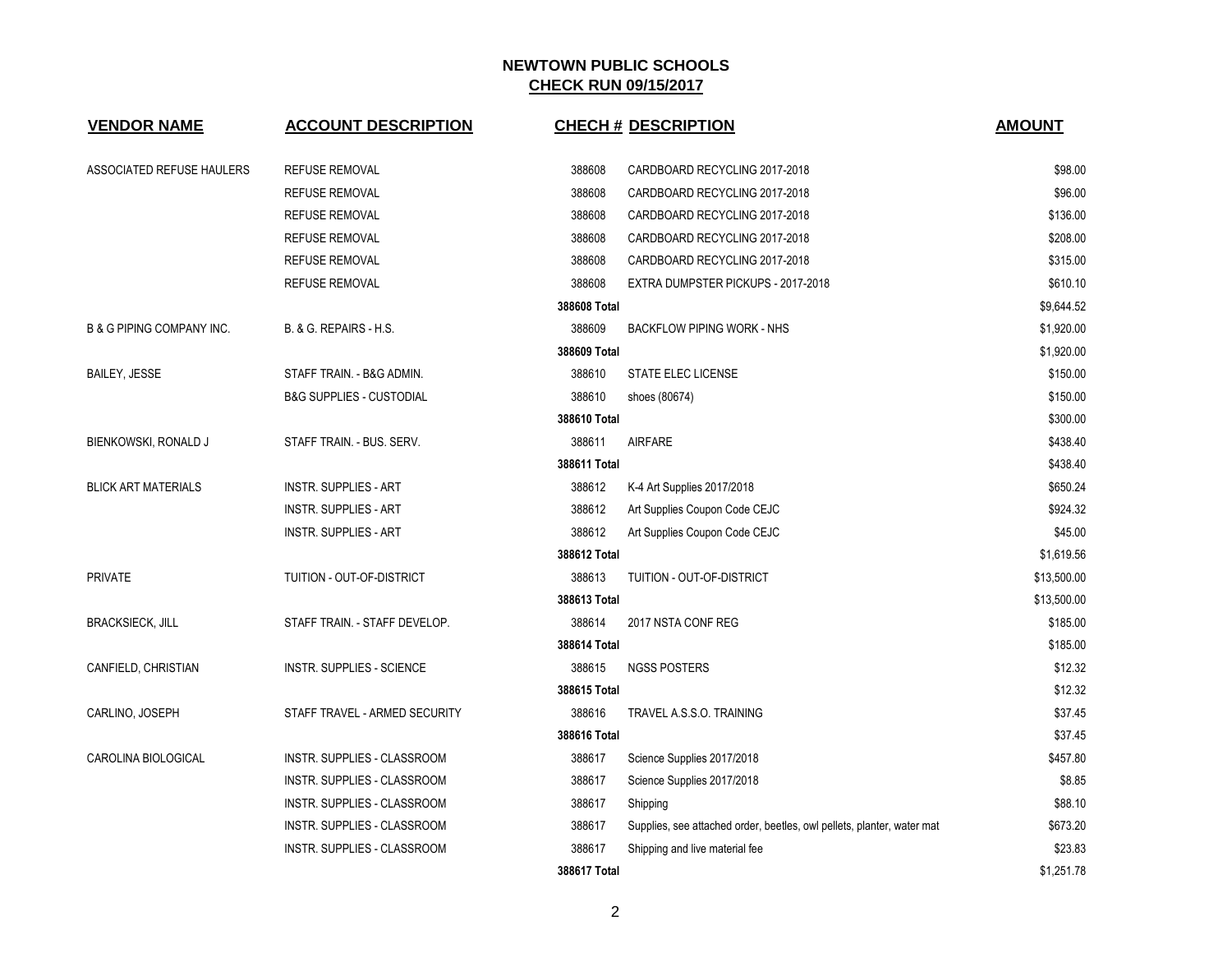| <b>VENDOR NAME</b>                   | <b>ACCOUNT DESCRIPTION</b>          |              | <b>CHECH # DESCRIPTION</b>                                             | <b>AMOUNT</b> |
|--------------------------------------|-------------------------------------|--------------|------------------------------------------------------------------------|---------------|
| ASSOCIATED REFUSE HAULERS            | <b>REFUSE REMOVAL</b>               | 388608       | CARDBOARD RECYCLING 2017-2018                                          | \$98.00       |
|                                      | <b>REFUSE REMOVAL</b>               | 388608       | CARDBOARD RECYCLING 2017-2018                                          | \$96.00       |
|                                      | REFUSE REMOVAL                      | 388608       | CARDBOARD RECYCLING 2017-2018                                          | \$136.00      |
|                                      | <b>REFUSE REMOVAL</b>               | 388608       | CARDBOARD RECYCLING 2017-2018                                          | \$208.00      |
|                                      | REFUSE REMOVAL                      | 388608       | CARDBOARD RECYCLING 2017-2018                                          | \$315.00      |
|                                      | REFUSE REMOVAL                      | 388608       | EXTRA DUMPSTER PICKUPS - 2017-2018                                     | \$610.10      |
|                                      |                                     | 388608 Total |                                                                        | \$9,644.52    |
| <b>B &amp; G PIPING COMPANY INC.</b> | B. & G. REPAIRS - H.S.              | 388609       | <b>BACKFLOW PIPING WORK - NHS</b>                                      | \$1,920.00    |
|                                      |                                     | 388609 Total |                                                                        | \$1,920.00    |
| <b>BAILEY, JESSE</b>                 | STAFF TRAIN. - B&G ADMIN.           | 388610       | <b>STATE ELEC LICENSE</b>                                              | \$150.00      |
|                                      | <b>B&amp;G SUPPLIES - CUSTODIAL</b> | 388610       | shoes (80674)                                                          | \$150.00      |
|                                      |                                     | 388610 Total |                                                                        | \$300.00      |
| BIENKOWSKI, RONALD J                 | STAFF TRAIN. - BUS. SERV.           | 388611       | <b>AIRFARE</b>                                                         | \$438.40      |
|                                      |                                     | 388611 Total |                                                                        | \$438.40      |
| <b>BLICK ART MATERIALS</b>           | <b>INSTR. SUPPLIES - ART</b>        | 388612       | K-4 Art Supplies 2017/2018                                             | \$650.24      |
|                                      | <b>INSTR. SUPPLIES - ART</b>        | 388612       | Art Supplies Coupon Code CEJC                                          | \$924.32      |
|                                      | <b>INSTR. SUPPLIES - ART</b>        | 388612       | Art Supplies Coupon Code CEJC                                          | \$45.00       |
|                                      |                                     | 388612 Total |                                                                        | \$1,619.56    |
| <b>PRIVATE</b>                       | TUITION - OUT-OF-DISTRICT           | 388613       | TUITION - OUT-OF-DISTRICT                                              | \$13,500.00   |
|                                      |                                     | 388613 Total |                                                                        | \$13,500.00   |
| <b>BRACKSIECK, JILL</b>              | STAFF TRAIN. - STAFF DEVELOP.       | 388614       | 2017 NSTA CONF REG                                                     | \$185.00      |
|                                      |                                     | 388614 Total |                                                                        | \$185.00      |
| CANFIELD, CHRISTIAN                  | <b>INSTR. SUPPLIES - SCIENCE</b>    | 388615       | <b>NGSS POSTERS</b>                                                    | \$12.32       |
|                                      |                                     | 388615 Total |                                                                        | \$12.32       |
| CARLINO, JOSEPH                      | STAFF TRAVEL - ARMED SECURITY       | 388616       | TRAVEL A.S.S.O. TRAINING                                               | \$37.45       |
|                                      |                                     | 388616 Total |                                                                        | \$37.45       |
| CAROLINA BIOLOGICAL                  | INSTR. SUPPLIES - CLASSROOM         | 388617       | Science Supplies 2017/2018                                             | \$457.80      |
|                                      | INSTR. SUPPLIES - CLASSROOM         | 388617       | Science Supplies 2017/2018                                             | \$8.85        |
|                                      | INSTR. SUPPLIES - CLASSROOM         | 388617       | Shipping                                                               | \$88.10       |
|                                      | INSTR. SUPPLIES - CLASSROOM         | 388617       | Supplies, see attached order, beetles, owl pellets, planter, water mat | \$673.20      |
|                                      | INSTR. SUPPLIES - CLASSROOM         | 388617       | Shipping and live material fee                                         | \$23.83       |
|                                      |                                     | 388617 Total |                                                                        | \$1,251.78    |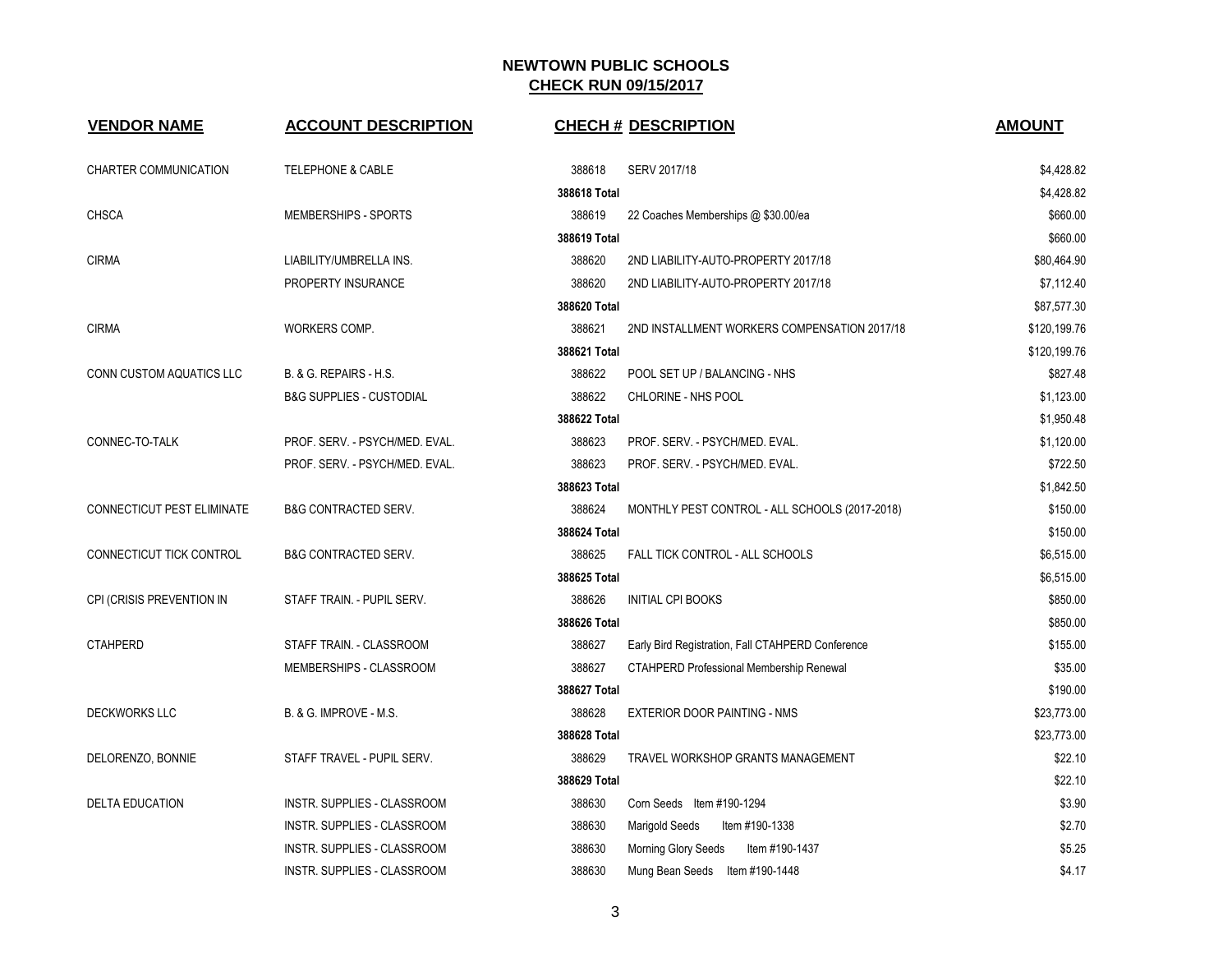| <b>VENDOR NAME</b>         | <b>ACCOUNT DESCRIPTION</b>          | <b>CHECH # DESCRIPTION</b>                                  | <b>AMOUNT</b> |
|----------------------------|-------------------------------------|-------------------------------------------------------------|---------------|
|                            |                                     |                                                             |               |
| CHARTER COMMUNICATION      | <b>TELEPHONE &amp; CABLE</b>        | 388618<br>SERV 2017/18                                      | \$4,428.82    |
|                            |                                     | 388618 Total                                                | \$4,428.82    |
| CHSCA                      | <b>MEMBERSHIPS - SPORTS</b>         | 388619<br>22 Coaches Memberships @ \$30.00/ea               | \$660.00      |
|                            |                                     | 388619 Total                                                | \$660.00      |
| <b>CIRMA</b>               | LIABILITY/UMBRELLA INS.             | 388620<br>2ND LIABILITY-AUTO-PROPERTY 2017/18               | \$80,464.90   |
|                            | PROPERTY INSURANCE                  | 388620<br>2ND LIABILITY-AUTO-PROPERTY 2017/18               | \$7,112.40    |
|                            |                                     | 388620 Total                                                | \$87,577.30   |
| <b>CIRMA</b>               | WORKERS COMP.                       | 388621<br>2ND INSTALLMENT WORKERS COMPENSATION 2017/18      | \$120,199.76  |
|                            |                                     | 388621 Total                                                | \$120,199.76  |
| CONN CUSTOM AQUATICS LLC   | B. & G. REPAIRS - H.S.              | 388622<br>POOL SET UP / BALANCING - NHS                     | \$827.48      |
|                            | <b>B&amp;G SUPPLIES - CUSTODIAL</b> | 388622<br>CHLORINE - NHS POOL                               | \$1,123.00    |
|                            |                                     | 388622 Total                                                | \$1,950.48    |
| CONNEC-TO-TALK             | PROF. SERV. - PSYCH/MED. EVAL.      | 388623<br>PROF. SERV. - PSYCH/MED. EVAL.                    | \$1,120.00    |
|                            | PROF. SERV. - PSYCH/MED. EVAL.      | 388623<br>PROF. SERV. - PSYCH/MED. EVAL.                    | \$722.50      |
|                            |                                     | 388623 Total                                                | \$1,842.50    |
| CONNECTICUT PEST ELIMINATE | <b>B&amp;G CONTRACTED SERV.</b>     | 388624<br>MONTHLY PEST CONTROL - ALL SCHOOLS (2017-2018)    | \$150.00      |
|                            |                                     | 388624 Total                                                | \$150.00      |
| CONNECTICUT TICK CONTROL   | <b>B&amp;G CONTRACTED SERV.</b>     | 388625<br>FALL TICK CONTROL - ALL SCHOOLS                   | \$6,515.00    |
|                            |                                     | 388625 Total                                                | \$6,515.00    |
| CPI (CRISIS PREVENTION IN  | STAFF TRAIN. - PUPIL SERV.          | 388626<br><b>INITIAL CPI BOOKS</b>                          | \$850.00      |
|                            |                                     | 388626 Total                                                | \$850.00      |
| <b>CTAHPERD</b>            | STAFF TRAIN. - CLASSROOM            | 388627<br>Early Bird Registration, Fall CTAHPERD Conference | \$155.00      |
|                            | MEMBERSHIPS - CLASSROOM             | 388627<br><b>CTAHPERD Professional Membership Renewal</b>   | \$35.00       |
|                            |                                     | 388627 Total                                                | \$190.00      |
| <b>DECKWORKS LLC</b>       | B. & G. IMPROVE - M.S.              | 388628<br><b>EXTERIOR DOOR PAINTING - NMS</b>               | \$23,773.00   |
|                            |                                     | 388628 Total                                                | \$23,773.00   |
| DELORENZO, BONNIE          | STAFF TRAVEL - PUPIL SERV.          | 388629<br>TRAVEL WORKSHOP GRANTS MANAGEMENT                 | \$22.10       |
|                            |                                     | 388629 Total                                                | \$22.10       |
| <b>DELTA EDUCATION</b>     | INSTR. SUPPLIES - CLASSROOM         | 388630<br>Corn Seeds Item #190-1294                         | \$3.90        |
|                            | INSTR. SUPPLIES - CLASSROOM         | 388630<br>Marigold Seeds<br>Item #190-1338                  | \$2.70        |
|                            | INSTR. SUPPLIES - CLASSROOM         | 388630<br>Item #190-1437<br>Morning Glory Seeds             | \$5.25        |
|                            | INSTR. SUPPLIES - CLASSROOM         | 388630<br>Mung Bean Seeds Item #190-1448                    | \$4.17        |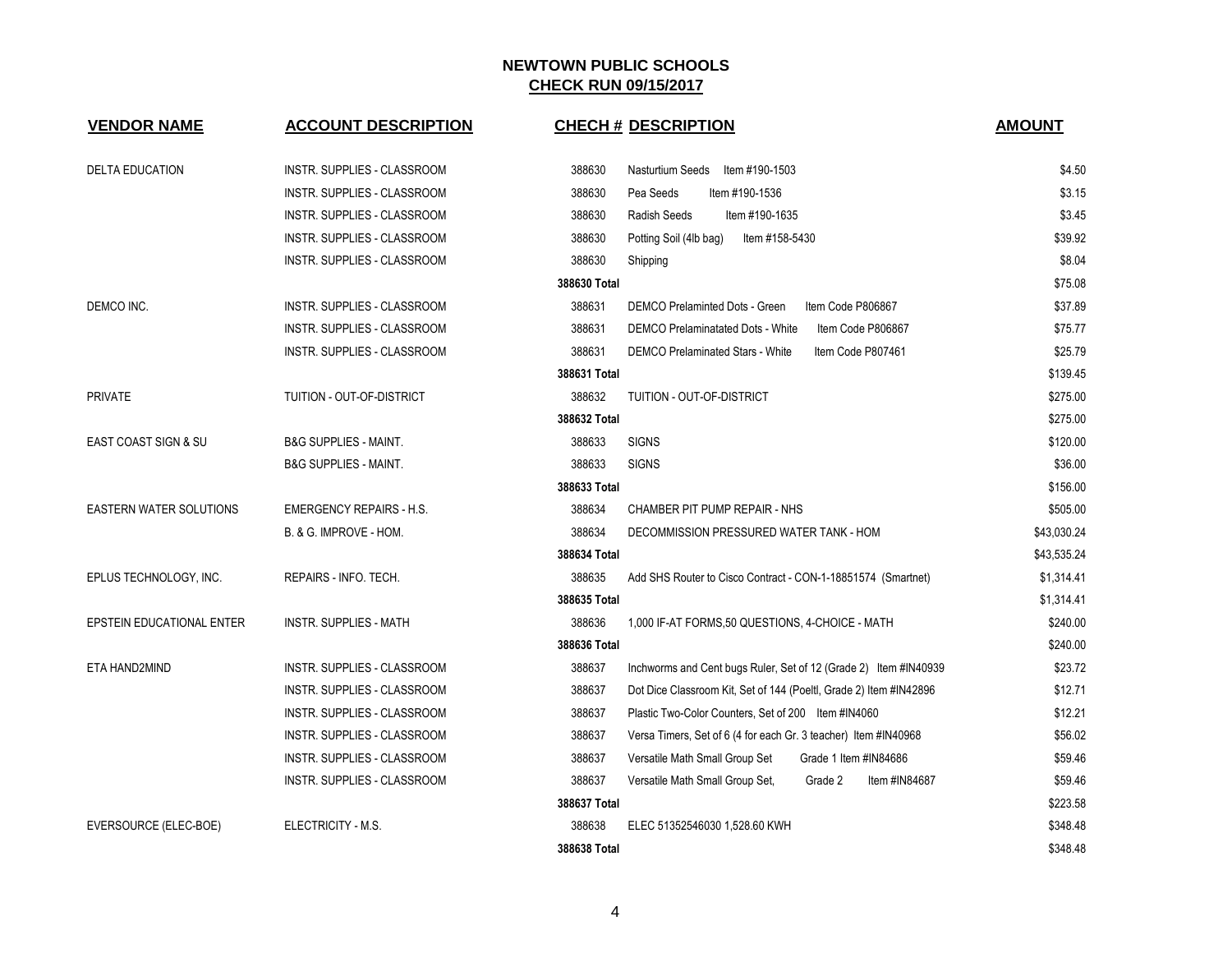| <b>VENDOR NAME</b>              | <b>ACCOUNT DESCRIPTION</b>       | <b>CHECH # DESCRIPTION</b>                                                   | <b>AMOUNT</b> |
|---------------------------------|----------------------------------|------------------------------------------------------------------------------|---------------|
| <b>DELTA EDUCATION</b>          | INSTR. SUPPLIES - CLASSROOM      | 388630<br>Nasturtium Seeds<br>ltem #190-1503                                 | \$4.50        |
|                                 | INSTR. SUPPLIES - CLASSROOM      | 388630<br>Pea Seeds<br>Item #190-1536                                        | \$3.15        |
|                                 | INSTR. SUPPLIES - CLASSROOM      | Radish Seeds<br>Item #190-1635<br>388630                                     | \$3.45        |
|                                 | INSTR. SUPPLIES - CLASSROOM      | 388630<br>Item #158-5430<br>Potting Soil (4lb bag)                           | \$39.92       |
|                                 | INSTR. SUPPLIES - CLASSROOM      | 388630<br>Shipping                                                           | \$8.04        |
|                                 |                                  | 388630 Total                                                                 | \$75.08       |
| DEMCO INC.                      | INSTR. SUPPLIES - CLASSROOM      | 388631<br><b>DEMCO Prelaminted Dots - Green</b><br>Item Code P806867         | \$37.89       |
|                                 | INSTR. SUPPLIES - CLASSROOM      | 388631<br><b>DEMCO Prelaminatated Dots - White</b><br>Item Code P806867      | \$75.77       |
|                                 | INSTR. SUPPLIES - CLASSROOM      | 388631<br><b>DEMCO Prelaminated Stars - White</b><br>Item Code P807461       | \$25.79       |
|                                 |                                  | 388631 Total                                                                 | \$139.45      |
| <b>PRIVATE</b>                  | TUITION - OUT-OF-DISTRICT        | 388632<br>TUITION - OUT-OF-DISTRICT                                          | \$275.00      |
|                                 |                                  | 388632 Total                                                                 | \$275.00      |
| <b>EAST COAST SIGN &amp; SU</b> | <b>B&amp;G SUPPLIES - MAINT.</b> | 388633<br><b>SIGNS</b>                                                       | \$120.00      |
|                                 | <b>B&amp;G SUPPLIES - MAINT.</b> | 388633<br><b>SIGNS</b>                                                       | \$36.00       |
|                                 |                                  | 388633 Total                                                                 | \$156.00      |
| <b>EASTERN WATER SOLUTIONS</b>  | <b>EMERGENCY REPAIRS - H.S.</b>  | 388634<br>CHAMBER PIT PUMP REPAIR - NHS                                      | \$505.00      |
|                                 | B. & G. IMPROVE - HOM.           | 388634<br>DECOMMISSION PRESSURED WATER TANK - HOM                            | \$43,030.24   |
|                                 |                                  | 388634 Total                                                                 | \$43,535.24   |
| EPLUS TECHNOLOGY, INC.          | REPAIRS - INFO. TECH.            | 388635<br>Add SHS Router to Cisco Contract - CON-1-18851574 (Smartnet)       | \$1,314.41    |
|                                 |                                  | 388635 Total                                                                 | \$1,314.41    |
| EPSTEIN EDUCATIONAL ENTER       | <b>INSTR. SUPPLIES - MATH</b>    | 388636<br>1,000 IF-AT FORMS,50 QUESTIONS, 4-CHOICE - MATH                    | \$240.00      |
|                                 |                                  | 388636 Total                                                                 | \$240.00      |
| ETA HAND2MIND                   | INSTR. SUPPLIES - CLASSROOM      | 388637<br>Inchworms and Cent bugs Ruler, Set of 12 (Grade 2) Item #IN40939   | \$23.72       |
|                                 | INSTR. SUPPLIES - CLASSROOM      | 388637<br>Dot Dice Classroom Kit, Set of 144 (Poeltl, Grade 2) Item #IN42896 | \$12.71       |
|                                 | INSTR. SUPPLIES - CLASSROOM      | 388637<br>Plastic Two-Color Counters, Set of 200 Item #IN4060                | \$12.21       |
|                                 | INSTR. SUPPLIES - CLASSROOM      | 388637<br>Versa Timers, Set of 6 (4 for each Gr. 3 teacher) Item #IN40968    | \$56.02       |
|                                 | INSTR. SUPPLIES - CLASSROOM      | 388637<br>Versatile Math Small Group Set<br>Grade 1 Item #IN84686            | \$59.46       |
|                                 | INSTR. SUPPLIES - CLASSROOM      | 388637<br>Item #IN84687<br>Versatile Math Small Group Set,<br>Grade 2        | \$59.46       |
|                                 |                                  | 388637 Total                                                                 | \$223.58      |
| EVERSOURCE (ELEC-BOE)           | ELECTRICITY - M.S.               | 388638<br>ELEC 51352546030 1,528.60 KWH                                      | \$348.48      |
|                                 |                                  | 388638 Total                                                                 | \$348.48      |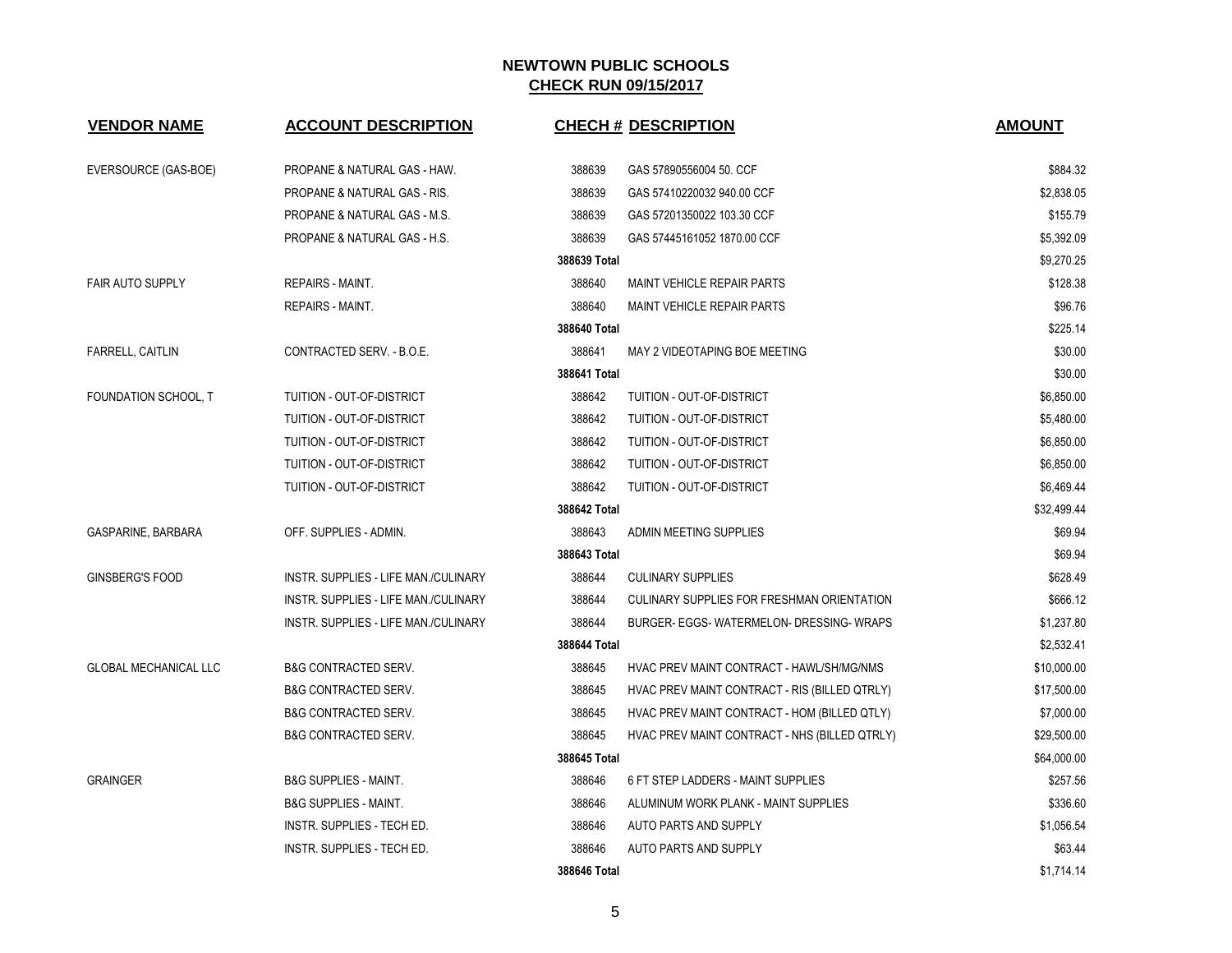| <b>VENDOR NAME</b>           | <b>ACCOUNT DESCRIPTION</b>           |              | <b>CHECH # DESCRIPTION</b>                        | <b>AMOUNT</b> |
|------------------------------|--------------------------------------|--------------|---------------------------------------------------|---------------|
| EVERSOURCE (GAS-BOE)         | PROPANE & NATURAL GAS - HAW.         | 388639       | GAS 57890556004 50. CCF                           | \$884.32      |
|                              | PROPANE & NATURAL GAS - RIS.         | 388639       | GAS 57410220032 940.00 CCF                        | \$2,838.05    |
|                              | PROPANE & NATURAL GAS - M.S.         | 388639       | GAS 57201350022 103.30 CCF                        | \$155.79      |
|                              | PROPANE & NATURAL GAS - H.S.         | 388639       | GAS 57445161052 1870.00 CCF                       | \$5,392.09    |
|                              |                                      | 388639 Total |                                                   | \$9,270.25    |
| <b>FAIR AUTO SUPPLY</b>      | <b>REPAIRS - MAINT.</b>              | 388640       | <b>MAINT VEHICLE REPAIR PARTS</b>                 | \$128.38      |
|                              | REPAIRS - MAINT.                     | 388640       | MAINT VEHICLE REPAIR PARTS                        | \$96.76       |
|                              |                                      | 388640 Total |                                                   | \$225.14      |
| FARRELL, CAITLIN             | CONTRACTED SERV. - B.O.E.            | 388641       | MAY 2 VIDEOTAPING BOE MEETING                     | \$30.00       |
|                              |                                      | 388641 Total |                                                   | \$30.00       |
| FOUNDATION SCHOOL, T         | TUITION - OUT-OF-DISTRICT            | 388642       | TUITION - OUT-OF-DISTRICT                         | \$6,850.00    |
|                              | TUITION - OUT-OF-DISTRICT            | 388642       | TUITION - OUT-OF-DISTRICT                         | \$5,480.00    |
|                              | TUITION - OUT-OF-DISTRICT            | 388642       | TUITION - OUT-OF-DISTRICT                         | \$6,850.00    |
|                              | TUITION - OUT-OF-DISTRICT            | 388642       | TUITION - OUT-OF-DISTRICT                         | \$6,850.00    |
|                              | TUITION - OUT-OF-DISTRICT            | 388642       | TUITION - OUT-OF-DISTRICT                         | \$6.469.44    |
|                              |                                      | 388642 Total |                                                   | \$32,499.44   |
| GASPARINE, BARBARA           | OFF. SUPPLIES - ADMIN.               | 388643       | ADMIN MEETING SUPPLIES                            | \$69.94       |
|                              |                                      | 388643 Total |                                                   | \$69.94       |
| <b>GINSBERG'S FOOD</b>       | INSTR. SUPPLIES - LIFE MAN./CULINARY | 388644       | <b>CULINARY SUPPLIES</b>                          | \$628.49      |
|                              | INSTR. SUPPLIES - LIFE MAN./CULINARY | 388644       | <b>CULINARY SUPPLIES FOR FRESHMAN ORIENTATION</b> | \$666.12      |
|                              | INSTR. SUPPLIES - LIFE MAN./CULINARY | 388644       | BURGER- EGGS- WATERMELON- DRESSING- WRAPS         | \$1,237.80    |
|                              |                                      | 388644 Total |                                                   | \$2,532.41    |
| <b>GLOBAL MECHANICAL LLC</b> | <b>B&amp;G CONTRACTED SERV.</b>      | 388645       | HVAC PREV MAINT CONTRACT - HAWL/SH/MG/NMS         | \$10,000.00   |
|                              | <b>B&amp;G CONTRACTED SERV.</b>      | 388645       | HVAC PREV MAINT CONTRACT - RIS (BILLED QTRLY)     | \$17,500.00   |
|                              | <b>B&amp;G CONTRACTED SERV.</b>      | 388645       | HVAC PREV MAINT CONTRACT - HOM (BILLED QTLY)      | \$7,000.00    |
|                              | <b>B&amp;G CONTRACTED SERV.</b>      | 388645       | HVAC PREV MAINT CONTRACT - NHS (BILLED QTRLY)     | \$29,500.00   |
|                              |                                      | 388645 Total |                                                   | \$64,000.00   |
| <b>GRAINGER</b>              | <b>B&amp;G SUPPLIES - MAINT.</b>     | 388646       | 6 FT STEP LADDERS - MAINT SUPPLIES                | \$257.56      |
|                              | <b>B&amp;G SUPPLIES - MAINT.</b>     | 388646       | ALUMINUM WORK PLANK - MAINT SUPPLIES              | \$336.60      |
|                              | INSTR. SUPPLIES - TECH ED.           | 388646       | AUTO PARTS AND SUPPLY                             | \$1,056.54    |
|                              | <b>INSTR. SUPPLIES - TECH ED.</b>    | 388646       | AUTO PARTS AND SUPPLY                             | \$63.44       |
|                              |                                      | 388646 Total |                                                   | \$1,714.14    |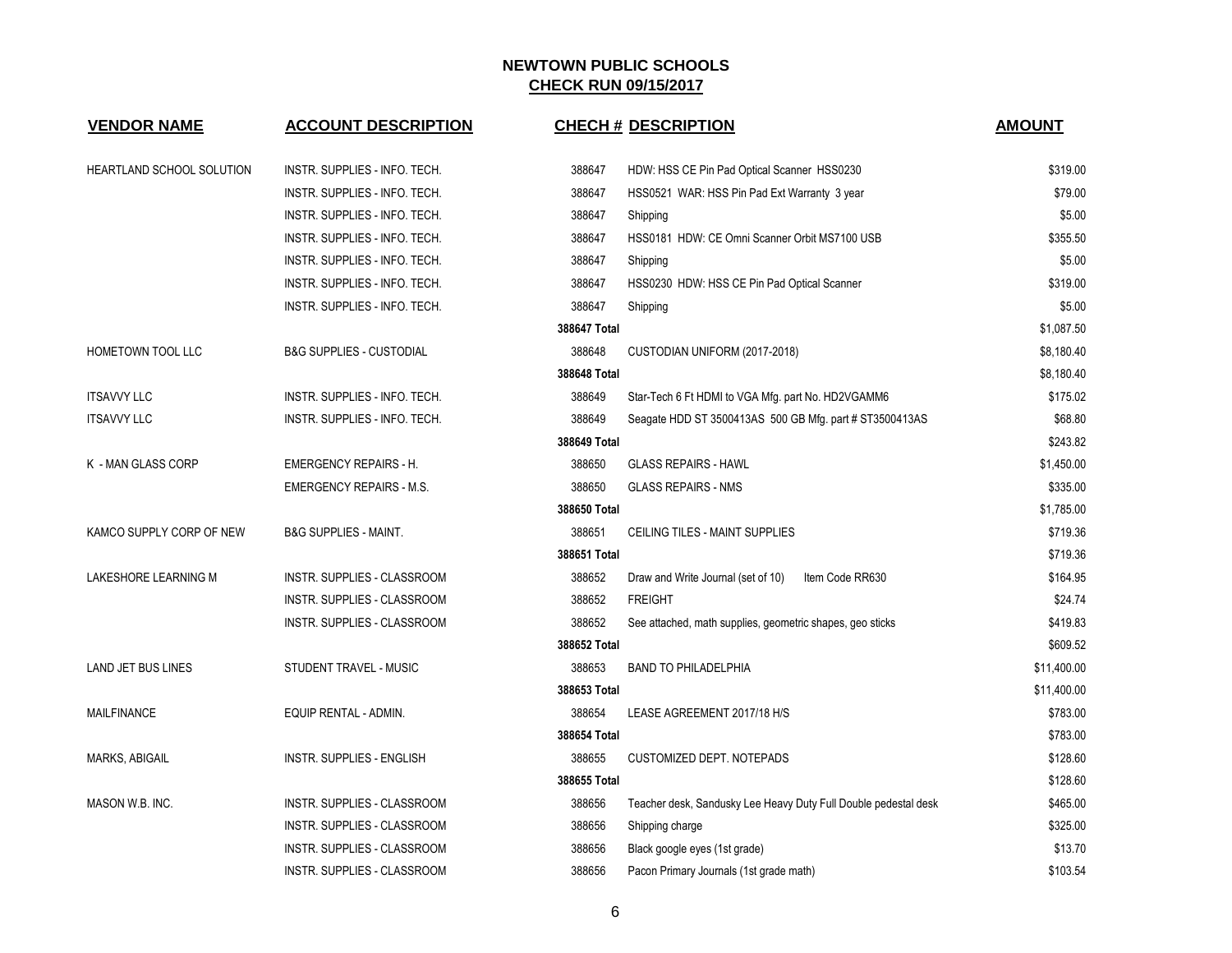| <b>VENDOR NAME</b>        | <b>ACCOUNT DESCRIPTION</b>          |              | <b>CHECH # DESCRIPTION</b>                                      | <b>AMOUNT</b> |
|---------------------------|-------------------------------------|--------------|-----------------------------------------------------------------|---------------|
| HEARTLAND SCHOOL SOLUTION | INSTR. SUPPLIES - INFO. TECH.       | 388647       | HDW: HSS CE Pin Pad Optical Scanner HSS0230                     | \$319.00      |
|                           | INSTR. SUPPLIES - INFO. TECH.       | 388647       | HSS0521 WAR: HSS Pin Pad Ext Warranty 3 year                    | \$79.00       |
|                           | INSTR. SUPPLIES - INFO. TECH.       | 388647       | Shipping                                                        | \$5.00        |
|                           | INSTR. SUPPLIES - INFO. TECH.       | 388647       | HSS0181 HDW: CE Omni Scanner Orbit MS7100 USB                   | \$355.50      |
|                           | INSTR. SUPPLIES - INFO. TECH.       | 388647       | Shipping                                                        | \$5.00        |
|                           | INSTR. SUPPLIES - INFO. TECH.       | 388647       | HSS0230 HDW: HSS CE Pin Pad Optical Scanner                     | \$319.00      |
|                           | INSTR. SUPPLIES - INFO. TECH.       | 388647       | Shipping                                                        | \$5.00        |
|                           |                                     | 388647 Total |                                                                 | \$1,087.50    |
| HOMETOWN TOOL LLC         | <b>B&amp;G SUPPLIES - CUSTODIAL</b> | 388648       | CUSTODIAN UNIFORM (2017-2018)                                   | \$8,180.40    |
|                           |                                     | 388648 Total |                                                                 | \$8,180.40    |
| <b>ITSAVVY LLC</b>        | INSTR. SUPPLIES - INFO. TECH.       | 388649       | Star-Tech 6 Ft HDMI to VGA Mfg. part No. HD2VGAMM6              | \$175.02      |
| <b>ITSAVVY LLC</b>        | INSTR. SUPPLIES - INFO. TECH.       | 388649       | Seagate HDD ST 3500413AS 500 GB Mfg. part # ST3500413AS         | \$68.80       |
|                           |                                     | 388649 Total |                                                                 | \$243.82      |
| K - MAN GLASS CORP        | <b>EMERGENCY REPAIRS - H.</b>       | 388650       | <b>GLASS REPAIRS - HAWL</b>                                     | \$1,450.00    |
|                           | <b>EMERGENCY REPAIRS - M.S.</b>     | 388650       | <b>GLASS REPAIRS - NMS</b>                                      | \$335.00      |
|                           |                                     | 388650 Total |                                                                 | \$1,785.00    |
| KAMCO SUPPLY CORP OF NEW  | <b>B&amp;G SUPPLIES - MAINT.</b>    | 388651       | CEILING TILES - MAINT SUPPLIES                                  | \$719.36      |
|                           |                                     | 388651 Total |                                                                 | \$719.36      |
| LAKESHORE LEARNING M      | INSTR. SUPPLIES - CLASSROOM         | 388652       | Draw and Write Journal (set of 10)<br>Item Code RR630           | \$164.95      |
|                           | INSTR. SUPPLIES - CLASSROOM         | 388652       | <b>FREIGHT</b>                                                  | \$24.74       |
|                           | INSTR. SUPPLIES - CLASSROOM         | 388652       | See attached, math supplies, geometric shapes, geo sticks       | \$419.83      |
|                           |                                     | 388652 Total |                                                                 | \$609.52      |
| <b>LAND JET BUS LINES</b> | STUDENT TRAVEL - MUSIC              | 388653       | <b>BAND TO PHILADELPHIA</b>                                     | \$11,400.00   |
|                           |                                     | 388653 Total |                                                                 | \$11,400.00   |
| <b>MAILFINANCE</b>        | EQUIP RENTAL - ADMIN.               | 388654       | LEASE AGREEMENT 2017/18 H/S                                     | \$783.00      |
|                           |                                     | 388654 Total |                                                                 | \$783.00      |
| MARKS, ABIGAIL            | INSTR. SUPPLIES - ENGLISH           | 388655       | CUSTOMIZED DEPT. NOTEPADS                                       | \$128.60      |
|                           |                                     | 388655 Total |                                                                 | \$128.60      |
| MASON W.B. INC.           | INSTR. SUPPLIES - CLASSROOM         | 388656       | Teacher desk, Sandusky Lee Heavy Duty Full Double pedestal desk | \$465.00      |
|                           | INSTR. SUPPLIES - CLASSROOM         | 388656       | Shipping charge                                                 | \$325.00      |
|                           | INSTR. SUPPLIES - CLASSROOM         | 388656       | Black google eyes (1st grade)                                   | \$13.70       |
|                           | INSTR. SUPPLIES - CLASSROOM         | 388656       | Pacon Primary Journals (1st grade math)                         | \$103.54      |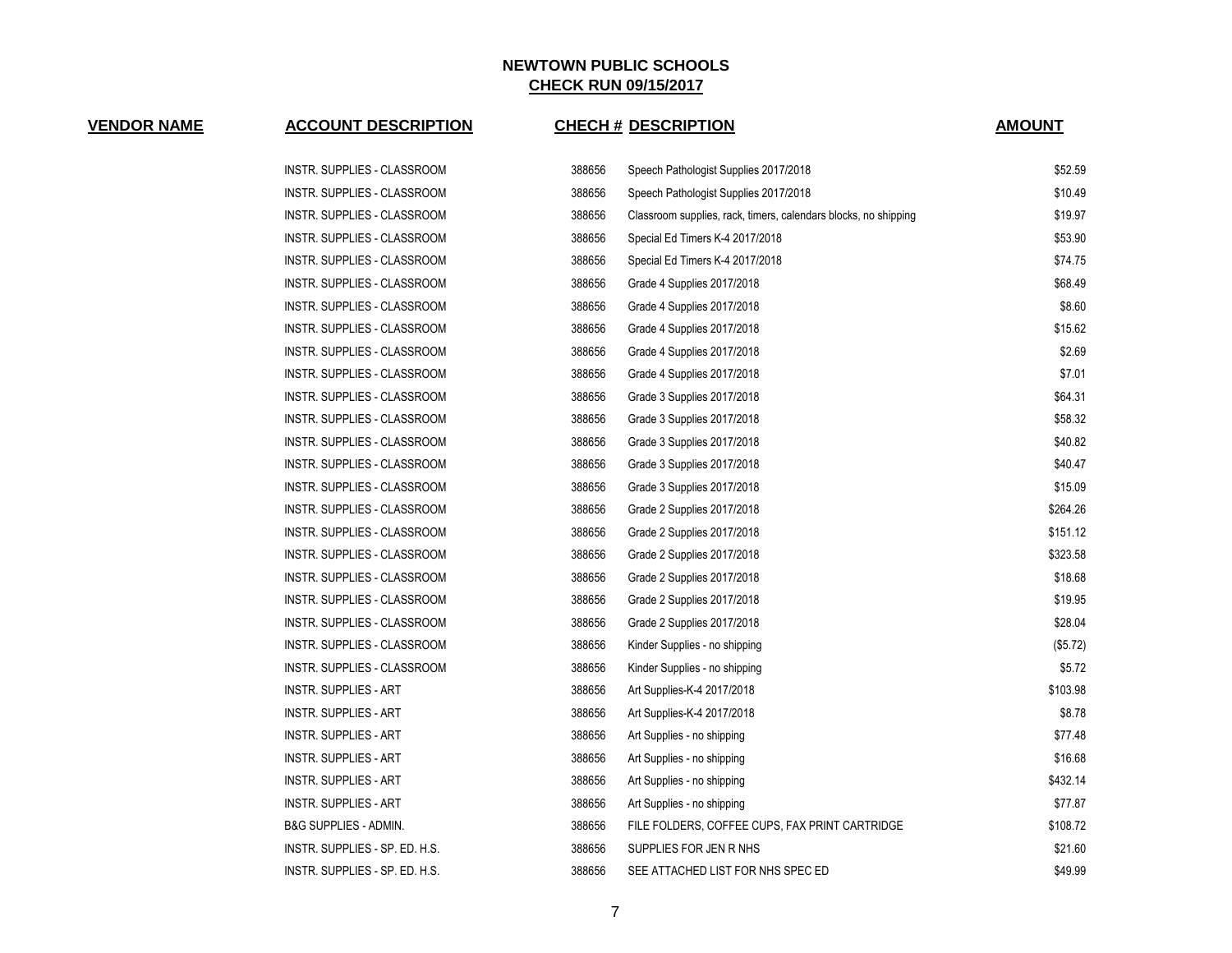# **VENDOR NAME ACCOUNT DESCRIPTION CHECH # DESCRIPTION AMOUNT**

| INSTR. SUPPLIES - CLASSROOM    | 388656 | Speech Pathologist Supplies 2017/2018                           | \$52.59  |
|--------------------------------|--------|-----------------------------------------------------------------|----------|
| INSTR. SUPPLIES - CLASSROOM    | 388656 | Speech Pathologist Supplies 2017/2018                           | \$10.49  |
| INSTR. SUPPLIES - CLASSROOM    | 388656 | Classroom supplies, rack, timers, calendars blocks, no shipping | \$19.97  |
| INSTR. SUPPLIES - CLASSROOM    | 388656 | Special Ed Timers K-4 2017/2018                                 | \$53.90  |
| INSTR. SUPPLIES - CLASSROOM    | 388656 | Special Ed Timers K-4 2017/2018                                 | \$74.75  |
| INSTR. SUPPLIES - CLASSROOM    | 388656 | Grade 4 Supplies 2017/2018                                      | \$68.49  |
| INSTR. SUPPLIES - CLASSROOM    | 388656 | Grade 4 Supplies 2017/2018                                      | \$8.60   |
| INSTR. SUPPLIES - CLASSROOM    | 388656 | Grade 4 Supplies 2017/2018                                      | \$15.62  |
| INSTR. SUPPLIES - CLASSROOM    | 388656 | Grade 4 Supplies 2017/2018                                      | \$2.69   |
| INSTR. SUPPLIES - CLASSROOM    | 388656 | Grade 4 Supplies 2017/2018                                      | \$7.01   |
| INSTR. SUPPLIES - CLASSROOM    | 388656 | Grade 3 Supplies 2017/2018                                      | \$64.31  |
| INSTR. SUPPLIES - CLASSROOM    | 388656 | Grade 3 Supplies 2017/2018                                      | \$58.32  |
| INSTR. SUPPLIES - CLASSROOM    | 388656 | Grade 3 Supplies 2017/2018                                      | \$40.82  |
| INSTR. SUPPLIES - CLASSROOM    | 388656 | Grade 3 Supplies 2017/2018                                      | \$40.47  |
| INSTR. SUPPLIES - CLASSROOM    | 388656 | Grade 3 Supplies 2017/2018                                      | \$15.09  |
| INSTR. SUPPLIES - CLASSROOM    | 388656 | Grade 2 Supplies 2017/2018                                      | \$264.26 |
| INSTR. SUPPLIES - CLASSROOM    | 388656 | Grade 2 Supplies 2017/2018                                      | \$151.12 |
| INSTR. SUPPLIES - CLASSROOM    | 388656 | Grade 2 Supplies 2017/2018                                      | \$323.58 |
| INSTR. SUPPLIES - CLASSROOM    | 388656 | Grade 2 Supplies 2017/2018                                      | \$18.68  |
| INSTR. SUPPLIES - CLASSROOM    | 388656 | Grade 2 Supplies 2017/2018                                      | \$19.95  |
| INSTR. SUPPLIES - CLASSROOM    | 388656 | Grade 2 Supplies 2017/2018                                      | \$28.04  |
| INSTR. SUPPLIES - CLASSROOM    | 388656 | Kinder Supplies - no shipping                                   | (\$5.72) |
| INSTR. SUPPLIES - CLASSROOM    | 388656 | Kinder Supplies - no shipping                                   | \$5.72   |
| INSTR. SUPPLIES - ART          | 388656 | Art Supplies-K-4 2017/2018                                      | \$103.98 |
| INSTR. SUPPLIES - ART          | 388656 | Art Supplies-K-4 2017/2018                                      | \$8.78   |
| INSTR. SUPPLIES - ART          | 388656 | Art Supplies - no shipping                                      | \$77.48  |
| INSTR. SUPPLIES - ART          | 388656 | Art Supplies - no shipping                                      | \$16.68  |
| INSTR. SUPPLIES - ART          | 388656 | Art Supplies - no shipping                                      | \$432.14 |
| INSTR. SUPPLIES - ART          | 388656 | Art Supplies - no shipping                                      | \$77.87  |
| B&G SUPPLIES - ADMIN.          | 388656 | FILE FOLDERS, COFFEE CUPS, FAX PRINT CARTRIDGE                  | \$108.72 |
| INSTR. SUPPLIES - SP. ED. H.S. | 388656 | SUPPLIES FOR JEN R NHS                                          | \$21.60  |
| INSTR. SUPPLIES - SP. ED. H.S. | 388656 | SEE ATTACHED LIST FOR NHS SPEC ED                               | \$49.99  |
|                                |        |                                                                 |          |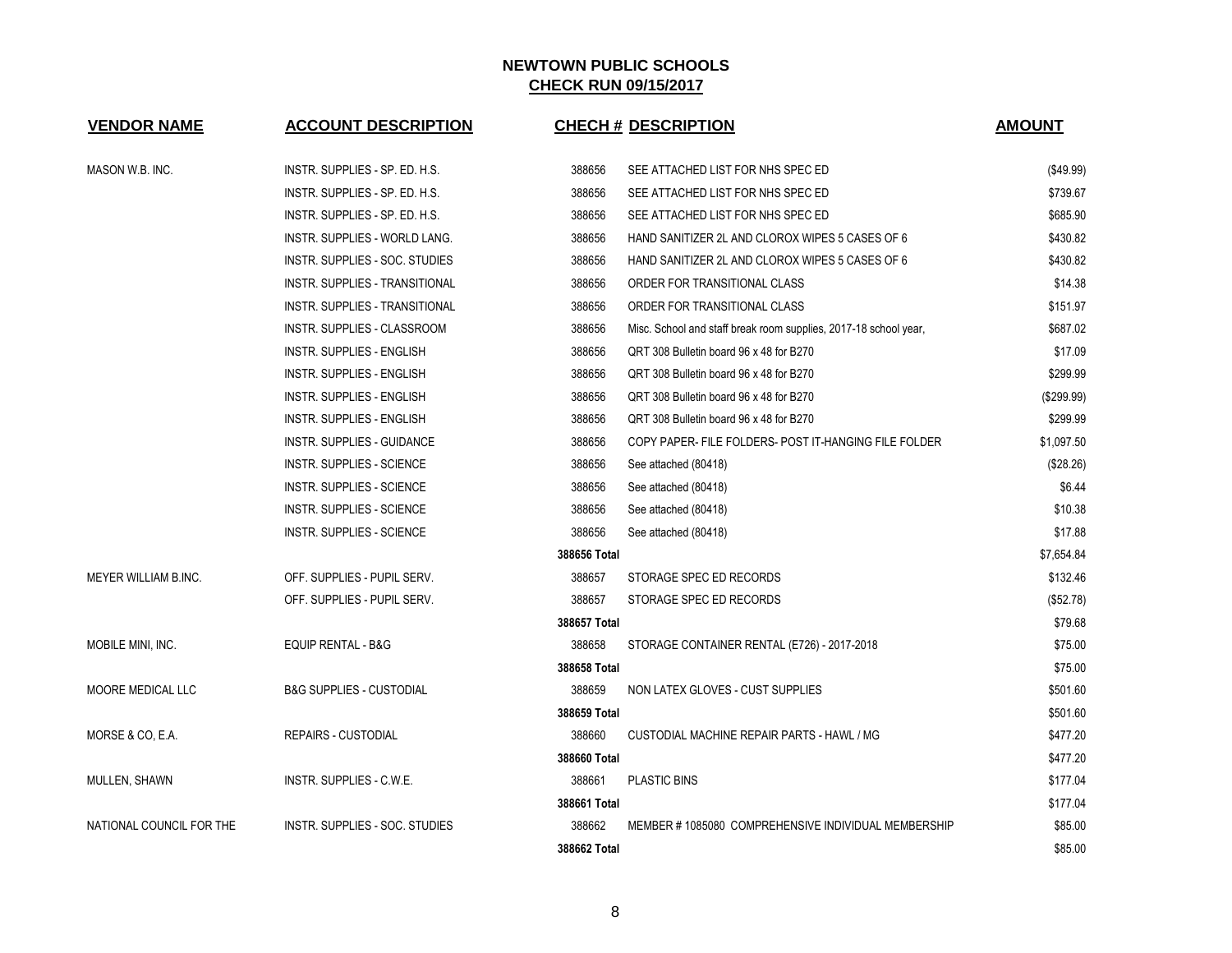| <b>VENDOR NAME</b>       | <b>ACCOUNT DESCRIPTION</b>           |              | <b>CHECH # DESCRIPTION</b>                                       | <b>AMOUNT</b> |
|--------------------------|--------------------------------------|--------------|------------------------------------------------------------------|---------------|
| MASON W.B. INC.          | INSTR. SUPPLIES - SP. ED. H.S.       | 388656       | SEE ATTACHED LIST FOR NHS SPEC ED                                | (\$49.99)     |
|                          | INSTR. SUPPLIES - SP. ED. H.S.       | 388656       | SEE ATTACHED LIST FOR NHS SPEC ED                                | \$739.67      |
|                          | INSTR. SUPPLIES - SP. ED. H.S.       | 388656       | SEE ATTACHED LIST FOR NHS SPEC ED                                | \$685.90      |
|                          | <b>INSTR. SUPPLIES - WORLD LANG.</b> | 388656       | HAND SANITIZER 2L AND CLOROX WIPES 5 CASES OF 6                  | \$430.82      |
|                          | INSTR. SUPPLIES - SOC. STUDIES       | 388656       | HAND SANITIZER 2L AND CLOROX WIPES 5 CASES OF 6                  | \$430.82      |
|                          | INSTR. SUPPLIES - TRANSITIONAL       | 388656       | ORDER FOR TRANSITIONAL CLASS                                     | \$14.38       |
|                          | INSTR. SUPPLIES - TRANSITIONAL       | 388656       | ORDER FOR TRANSITIONAL CLASS                                     | \$151.97      |
|                          | INSTR. SUPPLIES - CLASSROOM          | 388656       | Misc. School and staff break room supplies, 2017-18 school year, | \$687.02      |
|                          | INSTR. SUPPLIES - ENGLISH            | 388656       | QRT 308 Bulletin board 96 x 48 for B270                          | \$17.09       |
|                          | INSTR. SUPPLIES - ENGLISH            | 388656       | QRT 308 Bulletin board 96 x 48 for B270                          | \$299.99      |
|                          | INSTR. SUPPLIES - ENGLISH            | 388656       | QRT 308 Bulletin board 96 x 48 for B270                          | (\$299.99)    |
|                          | <b>INSTR. SUPPLIES - ENGLISH</b>     | 388656       | QRT 308 Bulletin board 96 x 48 for B270                          | \$299.99      |
|                          | INSTR. SUPPLIES - GUIDANCE           | 388656       | COPY PAPER- FILE FOLDERS- POST IT-HANGING FILE FOLDER            | \$1,097.50    |
|                          | <b>INSTR. SUPPLIES - SCIENCE</b>     | 388656       | See attached (80418)                                             | (\$28.26)     |
|                          | <b>INSTR. SUPPLIES - SCIENCE</b>     | 388656       | See attached (80418)                                             | \$6.44        |
|                          | <b>INSTR. SUPPLIES - SCIENCE</b>     | 388656       | See attached (80418)                                             | \$10.38       |
|                          | <b>INSTR. SUPPLIES - SCIENCE</b>     | 388656       | See attached (80418)                                             | \$17.88       |
|                          |                                      | 388656 Total |                                                                  | \$7,654.84    |
| MEYER WILLIAM B.INC.     | OFF. SUPPLIES - PUPIL SERV.          | 388657       | STORAGE SPEC ED RECORDS                                          | \$132.46      |
|                          | OFF. SUPPLIES - PUPIL SERV.          | 388657       | STORAGE SPEC ED RECORDS                                          | (\$52.78)     |
|                          |                                      | 388657 Total |                                                                  | \$79.68       |
| MOBILE MINI, INC.        | EQUIP RENTAL - B&G                   | 388658       | STORAGE CONTAINER RENTAL (E726) - 2017-2018                      | \$75.00       |
|                          |                                      | 388658 Total |                                                                  | \$75.00       |
| MOORE MEDICAL LLC        | <b>B&amp;G SUPPLIES - CUSTODIAL</b>  | 388659       | NON LATEX GLOVES - CUST SUPPLIES                                 | \$501.60      |
|                          |                                      | 388659 Total |                                                                  | \$501.60      |
| MORSE & CO, E.A.         | <b>REPAIRS - CUSTODIAL</b>           | 388660       | CUSTODIAL MACHINE REPAIR PARTS - HAWL / MG                       | \$477.20      |
|                          |                                      | 388660 Total |                                                                  | \$477.20      |
| MULLEN, SHAWN            | INSTR. SUPPLIES - C.W.E.             | 388661       | <b>PLASTIC BINS</b>                                              | \$177.04      |
|                          |                                      | 388661 Total |                                                                  | \$177.04      |
| NATIONAL COUNCIL FOR THE | INSTR. SUPPLIES - SOC. STUDIES       | 388662       | MEMBER #1085080 COMPREHENSIVE INDIVIDUAL MEMBERSHIP              | \$85.00       |
|                          |                                      | 388662 Total |                                                                  | \$85.00       |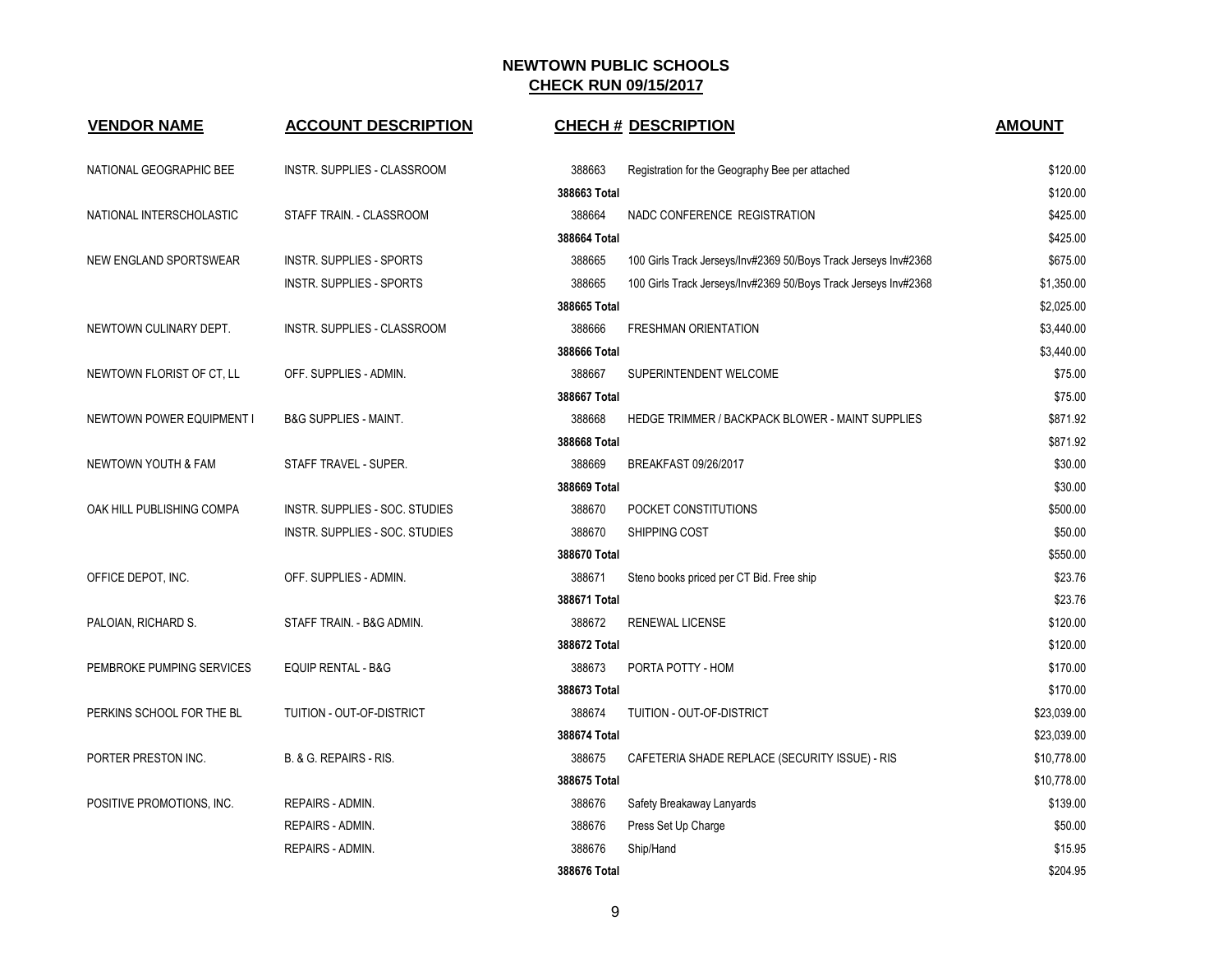| <b>VENDOR NAME</b>               | <b>ACCOUNT DESCRIPTION</b>       | <b>CHECH # DESCRIPTION</b>                                                | <b>AMOUNT</b> |
|----------------------------------|----------------------------------|---------------------------------------------------------------------------|---------------|
| NATIONAL GEOGRAPHIC BEE          | INSTR. SUPPLIES - CLASSROOM      | 388663<br>Registration for the Geography Bee per attached                 | \$120.00      |
|                                  |                                  | 388663 Total                                                              | \$120.00      |
| NATIONAL INTERSCHOLASTIC         | STAFF TRAIN. - CLASSROOM         | 388664<br>NADC CONFERENCE REGISTRATION                                    | \$425.00      |
|                                  |                                  | 388664 Total                                                              | \$425.00      |
| NEW ENGLAND SPORTSWEAR           | <b>INSTR. SUPPLIES - SPORTS</b>  | 388665<br>100 Girls Track Jerseys/Inv#2369 50/Boys Track Jerseys Inv#2368 | \$675.00      |
|                                  | <b>INSTR. SUPPLIES - SPORTS</b>  | 388665<br>100 Girls Track Jerseys/Inv#2369 50/Boys Track Jerseys Inv#2368 | \$1,350.00    |
|                                  |                                  | 388665 Total                                                              | \$2,025.00    |
| NEWTOWN CULINARY DEPT.           | INSTR. SUPPLIES - CLASSROOM      | 388666<br><b>FRESHMAN ORIENTATION</b>                                     | \$3,440.00    |
|                                  |                                  | 388666 Total                                                              | \$3,440.00    |
| NEWTOWN FLORIST OF CT, LL        | OFF. SUPPLIES - ADMIN.           | 388667<br>SUPERINTENDENT WELCOME                                          | \$75.00       |
|                                  |                                  | 388667 Total                                                              | \$75.00       |
| <b>NEWTOWN POWER EQUIPMENT I</b> | <b>B&amp;G SUPPLIES - MAINT.</b> | 388668<br>HEDGE TRIMMER / BACKPACK BLOWER - MAINT SUPPLIES                | \$871.92      |
|                                  |                                  | 388668 Total                                                              | \$871.92      |
| NEWTOWN YOUTH & FAM              | STAFF TRAVEL - SUPER.            | 388669<br>BREAKFAST 09/26/2017                                            | \$30.00       |
|                                  |                                  | 388669 Total                                                              | \$30.00       |
| OAK HILL PUBLISHING COMPA        | INSTR. SUPPLIES - SOC. STUDIES   | 388670<br>POCKET CONSTITUTIONS                                            | \$500.00      |
|                                  | INSTR. SUPPLIES - SOC. STUDIES   | 388670<br>SHIPPING COST                                                   | \$50.00       |
|                                  |                                  | 388670 Total                                                              | \$550.00      |
| OFFICE DEPOT, INC.               | OFF. SUPPLIES - ADMIN.           | 388671<br>Steno books priced per CT Bid. Free ship                        | \$23.76       |
|                                  |                                  | 388671 Total                                                              | \$23.76       |
| PALOIAN, RICHARD S.              | STAFF TRAIN. - B&G ADMIN.        | 388672<br>RENEWAL LICENSE                                                 | \$120.00      |
|                                  |                                  | 388672 Total                                                              | \$120.00      |
| PEMBROKE PUMPING SERVICES        | <b>EQUIP RENTAL - B&amp;G</b>    | 388673<br>PORTA POTTY - HOM                                               | \$170.00      |
|                                  |                                  | 388673 Total                                                              | \$170.00      |
| PERKINS SCHOOL FOR THE BL        | TUITION - OUT-OF-DISTRICT        | 388674<br>TUITION - OUT-OF-DISTRICT                                       | \$23,039.00   |
|                                  |                                  | 388674 Total                                                              | \$23,039.00   |
| PORTER PRESTON INC.              | B. & G. REPAIRS - RIS.           | 388675<br>CAFETERIA SHADE REPLACE (SECURITY ISSUE) - RIS                  | \$10,778.00   |
|                                  |                                  | 388675 Total                                                              | \$10,778.00   |
| POSITIVE PROMOTIONS, INC.        | REPAIRS - ADMIN.                 | 388676<br>Safety Breakaway Lanyards                                       | \$139.00      |
|                                  | REPAIRS - ADMIN.                 | 388676<br>Press Set Up Charge                                             | \$50.00       |
|                                  | REPAIRS - ADMIN.                 | 388676<br>Ship/Hand                                                       | \$15.95       |
|                                  |                                  | 388676 Total                                                              | \$204.95      |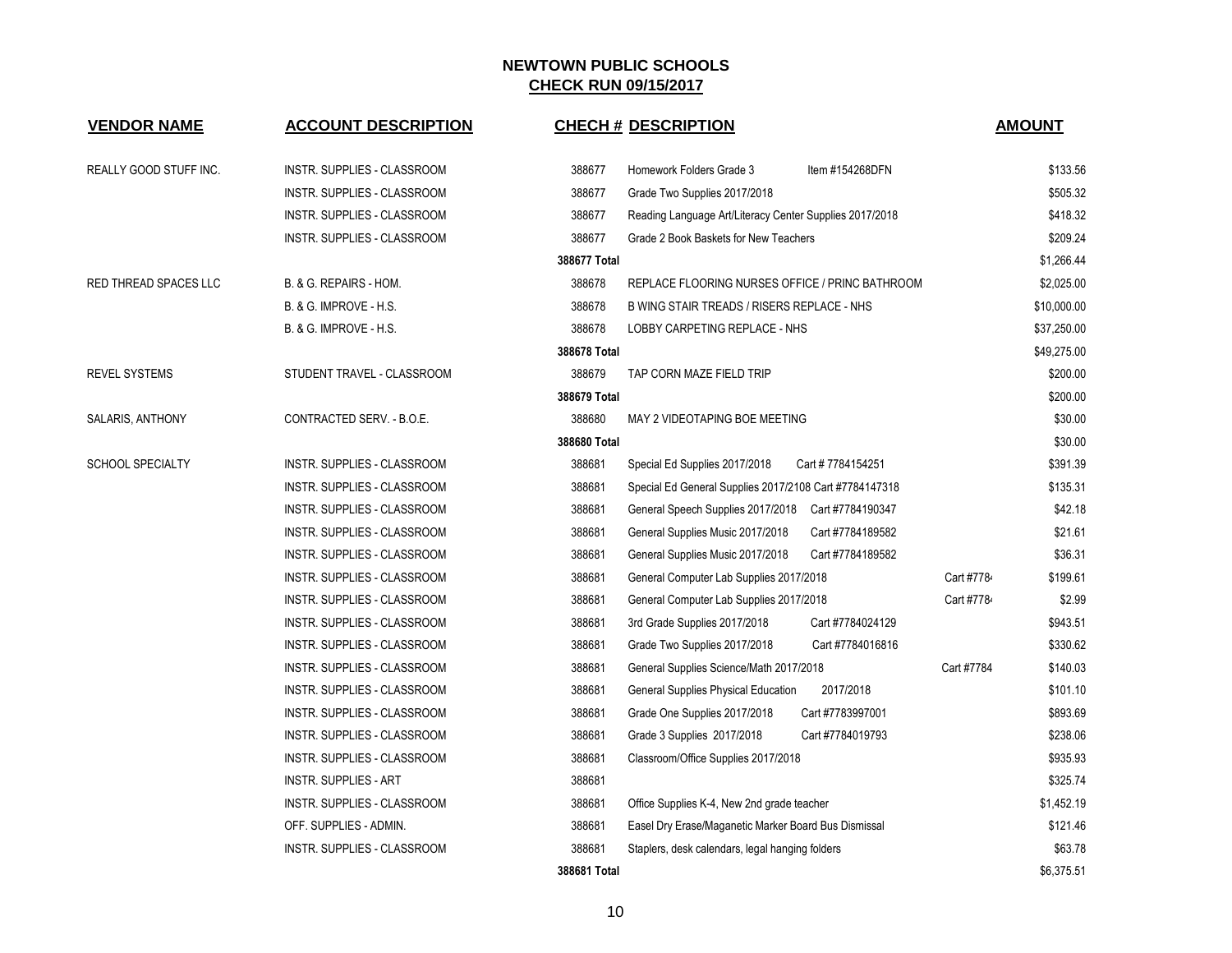| <b>VENDOR NAME</b>            | <b>ACCOUNT DESCRIPTION</b>   | <b>CHECH # DESCRIPTION</b>                                        | <b>AMOUNT</b>          |
|-------------------------------|------------------------------|-------------------------------------------------------------------|------------------------|
| <b>REALLY GOOD STUFF INC.</b> | INSTR. SUPPLIES - CLASSROOM  | 388677<br>Homework Folders Grade 3<br>Item #154268DFN             | \$133.56               |
|                               | INSTR. SUPPLIES - CLASSROOM  | 388677<br>Grade Two Supplies 2017/2018                            | \$505.32               |
|                               | INSTR. SUPPLIES - CLASSROOM  | 388677<br>Reading Language Art/Literacy Center Supplies 2017/2018 | \$418.32               |
|                               | INSTR. SUPPLIES - CLASSROOM  | 388677<br>Grade 2 Book Baskets for New Teachers                   | \$209.24               |
|                               |                              | 388677 Total                                                      | \$1,266.44             |
| RED THREAD SPACES LLC         | B. & G. REPAIRS - HOM.       | 388678<br>REPLACE FLOORING NURSES OFFICE / PRINC BATHROOM         | \$2,025.00             |
|                               | B. & G. IMPROVE - H.S.       | 388678<br>B WING STAIR TREADS / RISERS REPLACE - NHS              | \$10,000.00            |
|                               | B. & G. IMPROVE - H.S.       | 388678<br>LOBBY CARPETING REPLACE - NHS                           | \$37,250.00            |
|                               |                              | 388678 Total                                                      | \$49,275.00            |
| <b>REVEL SYSTEMS</b>          | STUDENT TRAVEL - CLASSROOM   | 388679<br>TAP CORN MAZE FIELD TRIP                                | \$200.00               |
|                               |                              | 388679 Total                                                      | \$200.00               |
| SALARIS, ANTHONY              | CONTRACTED SERV. - B.O.E.    | 388680<br>MAY 2 VIDEOTAPING BOE MEETING                           | \$30.00                |
|                               |                              | 388680 Total                                                      | \$30.00                |
| <b>SCHOOL SPECIALTY</b>       | INSTR. SUPPLIES - CLASSROOM  | 388681<br>Cart #7784154251<br>Special Ed Supplies 2017/2018       | \$391.39               |
|                               | INSTR. SUPPLIES - CLASSROOM  | 388681<br>Special Ed General Supplies 2017/2108 Cart #7784147318  | \$135.31               |
|                               | INSTR. SUPPLIES - CLASSROOM  | 388681<br>General Speech Supplies 2017/2018 Cart #7784190347      | \$42.18                |
|                               | INSTR. SUPPLIES - CLASSROOM  | 388681<br>General Supplies Music 2017/2018<br>Cart #7784189582    | \$21.61                |
|                               | INSTR. SUPPLIES - CLASSROOM  | 388681<br>General Supplies Music 2017/2018<br>Cart #7784189582    | \$36.31                |
|                               | INSTR. SUPPLIES - CLASSROOM  | 388681<br>General Computer Lab Supplies 2017/2018                 | Cart #7784<br>\$199.61 |
|                               | INSTR. SUPPLIES - CLASSROOM  | 388681<br>General Computer Lab Supplies 2017/2018                 | \$2.99<br>Cart #7784   |
|                               | INSTR. SUPPLIES - CLASSROOM  | 388681<br>3rd Grade Supplies 2017/2018<br>Cart #7784024129        | \$943.51               |
|                               | INSTR. SUPPLIES - CLASSROOM  | 388681<br>Grade Two Supplies 2017/2018<br>Cart #7784016816        | \$330.62               |
|                               | INSTR. SUPPLIES - CLASSROOM  | 388681<br>General Supplies Science/Math 2017/2018                 | Cart #7784<br>\$140.03 |
|                               | INSTR. SUPPLIES - CLASSROOM  | 388681<br>General Supplies Physical Education<br>2017/2018        | \$101.10               |
|                               | INSTR. SUPPLIES - CLASSROOM  | 388681<br>Grade One Supplies 2017/2018<br>Cart #7783997001        | \$893.69               |
|                               | INSTR. SUPPLIES - CLASSROOM  | 388681<br>Grade 3 Supplies 2017/2018<br>Cart #7784019793          | \$238.06               |
|                               | INSTR. SUPPLIES - CLASSROOM  | 388681<br>Classroom/Office Supplies 2017/2018                     | \$935.93               |
|                               | <b>INSTR. SUPPLIES - ART</b> | 388681                                                            | \$325.74               |
|                               | INSTR. SUPPLIES - CLASSROOM  | 388681<br>Office Supplies K-4, New 2nd grade teacher              | \$1,452.19             |
|                               | OFF. SUPPLIES - ADMIN.       | 388681<br>Easel Dry Erase/Maganetic Marker Board Bus Dismissal    | \$121.46               |
|                               | INSTR. SUPPLIES - CLASSROOM  | 388681<br>Staplers, desk calendars, legal hanging folders         | \$63.78                |
|                               |                              | 388681 Total                                                      | \$6,375.51             |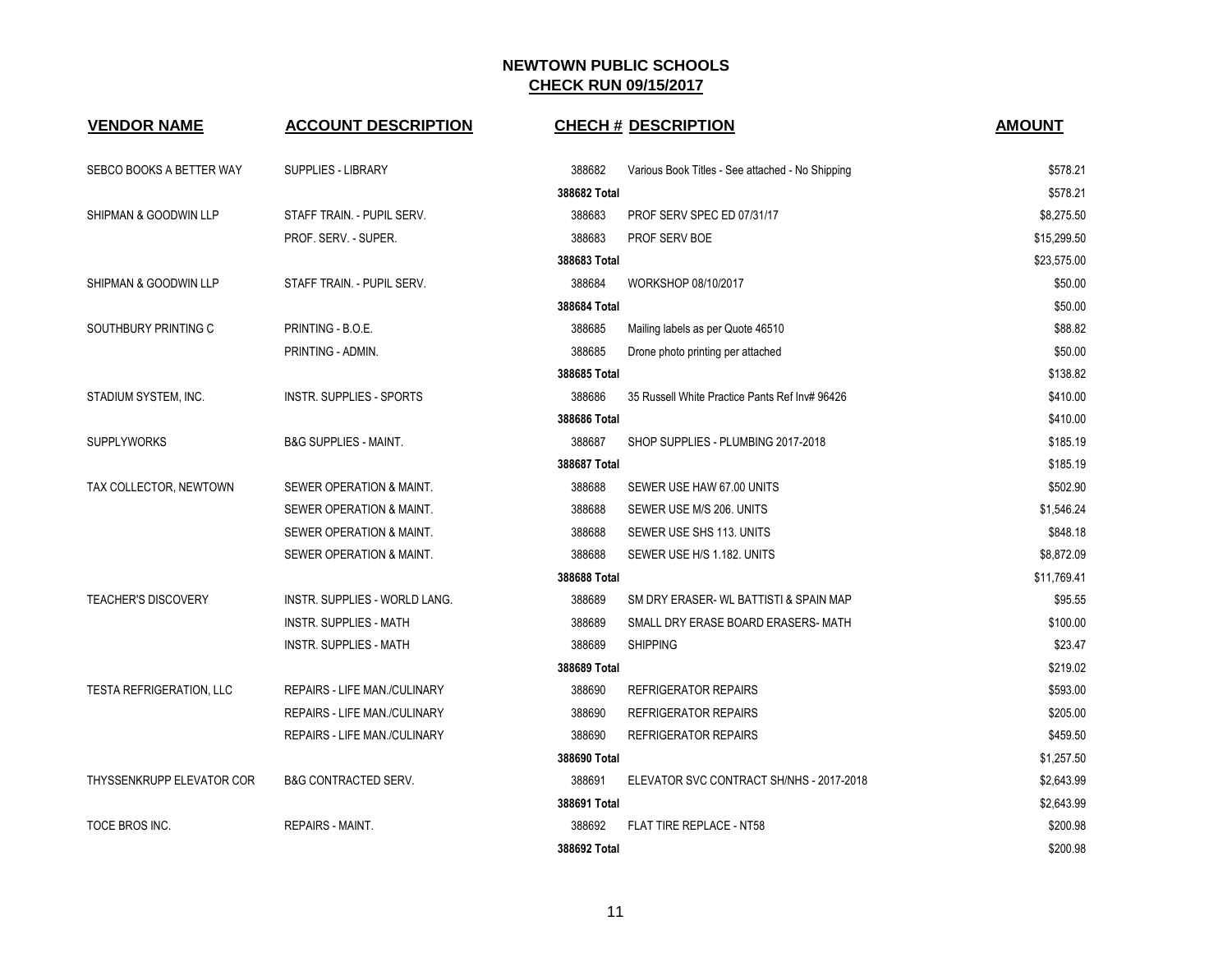| <b>VENDOR NAME</b>         | <b>ACCOUNT DESCRIPTION</b>          | <b>CHECH # DESCRIPTION</b>                                 | <b>AMOUNT</b> |
|----------------------------|-------------------------------------|------------------------------------------------------------|---------------|
| SEBCO BOOKS A BETTER WAY   | SUPPLIES - LIBRARY                  | 388682<br>Various Book Titles - See attached - No Shipping | \$578.21      |
|                            |                                     | 388682 Total                                               | \$578.21      |
| SHIPMAN & GOODWIN LLP      | STAFF TRAIN. - PUPIL SERV.          | 388683<br>PROF SERV SPEC ED 07/31/17                       | \$8,275.50    |
|                            | PROF. SERV. - SUPER.                | 388683<br>PROF SERV BOE                                    | \$15,299.50   |
|                            |                                     | 388683 Total                                               | \$23,575.00   |
| SHIPMAN & GOODWIN LLP      | STAFF TRAIN. - PUPIL SERV.          | 388684<br>WORKSHOP 08/10/2017                              | \$50.00       |
|                            |                                     | 388684 Total                                               | \$50.00       |
| SOUTHBURY PRINTING C       | PRINTING - B.O.E.                   | 388685<br>Mailing labels as per Quote 46510                | \$88.82       |
|                            | PRINTING - ADMIN.                   | 388685<br>Drone photo printing per attached                | \$50.00       |
|                            |                                     | 388685 Total                                               | \$138.82      |
| STADIUM SYSTEM, INC.       | <b>INSTR. SUPPLIES - SPORTS</b>     | 388686<br>35 Russell White Practice Pants Ref Inv# 96426   | \$410.00      |
|                            |                                     | 388686 Total                                               | \$410.00      |
| <b>SUPPLYWORKS</b>         | <b>B&amp;G SUPPLIES - MAINT.</b>    | 388687<br>SHOP SUPPLIES - PLUMBING 2017-2018               | \$185.19      |
|                            |                                     | 388687 Total                                               | \$185.19      |
| TAX COLLECTOR, NEWTOWN     | SEWER OPERATION & MAINT.            | 388688<br>SEWER USE HAW 67.00 UNITS                        | \$502.90      |
|                            | SEWER OPERATION & MAINT.            | 388688<br>SEWER USE M/S 206. UNITS                         | \$1,546.24    |
|                            | SEWER OPERATION & MAINT.            | 388688<br>SEWER USE SHS 113. UNITS                         | \$848.18      |
|                            | SEWER OPERATION & MAINT.            | 388688<br>SEWER USE H/S 1.182. UNITS                       | \$8,872.09    |
|                            |                                     | 388688 Total                                               | \$11,769.41   |
| <b>TEACHER'S DISCOVERY</b> | INSTR. SUPPLIES - WORLD LANG.       | 388689<br>SM DRY ERASER- WL BATTISTI & SPAIN MAP           | \$95.55       |
|                            | <b>INSTR. SUPPLIES - MATH</b>       | 388689<br>SMALL DRY ERASE BOARD ERASERS- MATH              | \$100.00      |
|                            | <b>INSTR. SUPPLIES - MATH</b>       | 388689<br><b>SHIPPING</b>                                  | \$23.47       |
|                            |                                     | 388689 Total                                               | \$219.02      |
| TESTA REFRIGERATION, LLC   | <b>REPAIRS - LIFE MAN./CULINARY</b> | 388690<br><b>REFRIGERATOR REPAIRS</b>                      | \$593.00      |
|                            | <b>REPAIRS - LIFE MAN./CULINARY</b> | 388690<br><b>REFRIGERATOR REPAIRS</b>                      | \$205.00      |
|                            | REPAIRS - LIFE MAN./CULINARY        | 388690<br><b>REFRIGERATOR REPAIRS</b>                      | \$459.50      |
|                            |                                     | 388690 Total                                               | \$1,257.50    |
| THYSSENKRUPP ELEVATOR COR  | <b>B&amp;G CONTRACTED SERV.</b>     | 388691<br>ELEVATOR SVC CONTRACT SH/NHS - 2017-2018         | \$2,643.99    |
|                            |                                     | 388691 Total                                               | \$2,643.99    |
| TOCE BROS INC.             | REPAIRS - MAINT.                    | 388692<br>FLAT TIRE REPLACE - NT58                         | \$200.98      |
|                            |                                     | 388692 Total                                               | \$200.98      |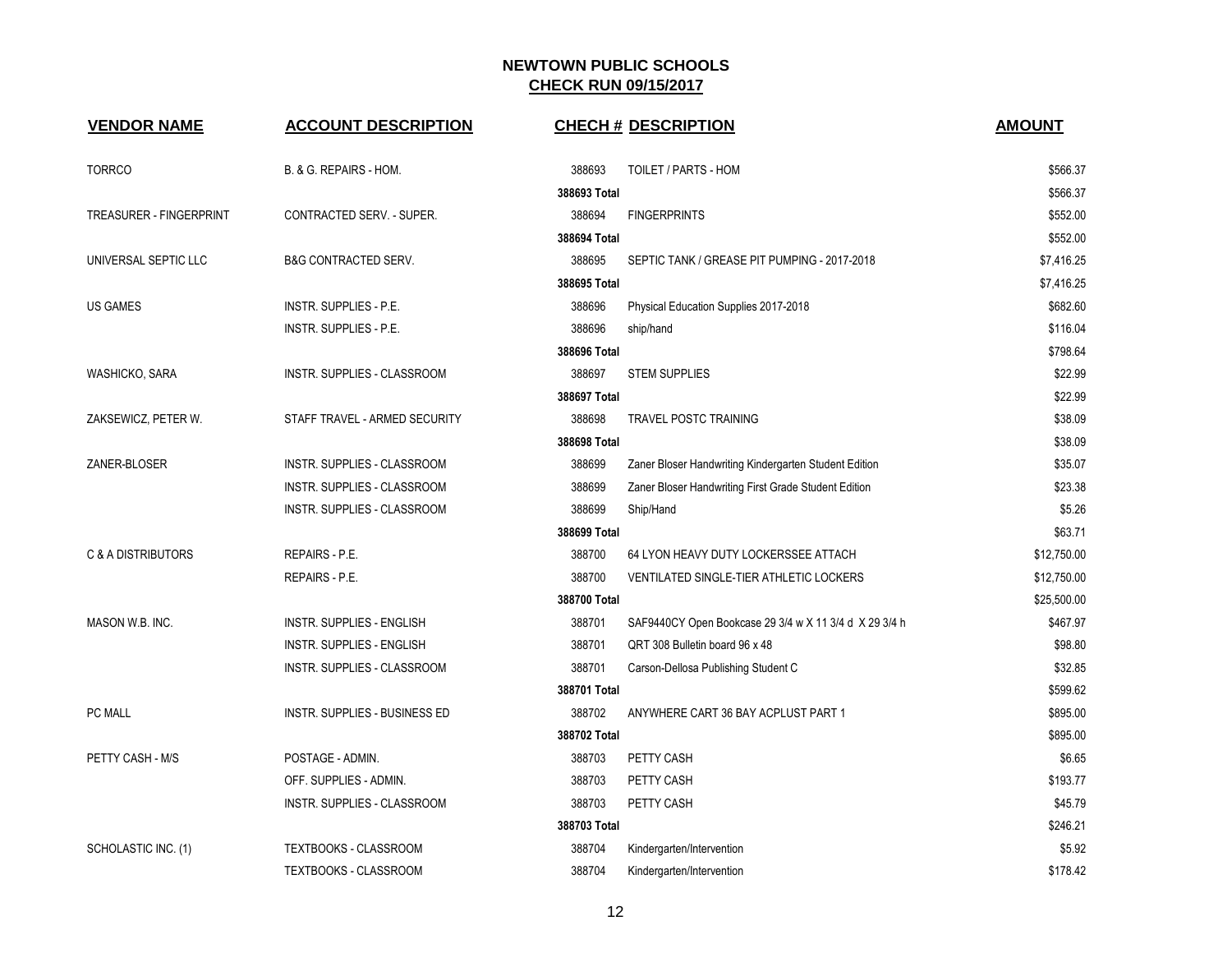| <b>VENDOR NAME</b>             | <b>ACCOUNT DESCRIPTION</b>       |              | <b>CHECH # DESCRIPTION</b>                             | <b>AMOUNT</b> |
|--------------------------------|----------------------------------|--------------|--------------------------------------------------------|---------------|
|                                |                                  |              |                                                        |               |
| <b>TORRCO</b>                  | B. & G. REPAIRS - HOM.           | 388693       | TOILET / PARTS - HOM                                   | \$566.37      |
|                                |                                  | 388693 Total |                                                        | \$566.37      |
| <b>TREASURER - FINGERPRINT</b> | CONTRACTED SERV. - SUPER.        | 388694       | <b>FINGERPRINTS</b>                                    | \$552.00      |
|                                |                                  | 388694 Total |                                                        | \$552.00      |
| UNIVERSAL SEPTIC LLC           | <b>B&amp;G CONTRACTED SERV.</b>  | 388695       | SEPTIC TANK / GREASE PIT PUMPING - 2017-2018           | \$7,416.25    |
|                                |                                  | 388695 Total |                                                        | \$7,416.25    |
| <b>US GAMES</b>                | INSTR. SUPPLIES - P.E.           | 388696       | Physical Education Supplies 2017-2018                  | \$682.60      |
|                                | INSTR. SUPPLIES - P.E.           | 388696       | ship/hand                                              | \$116.04      |
|                                |                                  | 388696 Total |                                                        | \$798.64      |
| WASHICKO, SARA                 | INSTR. SUPPLIES - CLASSROOM      | 388697       | <b>STEM SUPPLIES</b>                                   | \$22.99       |
|                                |                                  | 388697 Total |                                                        | \$22.99       |
| ZAKSEWICZ, PETER W.            | STAFF TRAVEL - ARMED SECURITY    | 388698       | <b>TRAVEL POSTC TRAINING</b>                           | \$38.09       |
|                                |                                  | 388698 Total |                                                        | \$38.09       |
| ZANER-BLOSER                   | INSTR. SUPPLIES - CLASSROOM      | 388699       | Zaner Bloser Handwriting Kindergarten Student Edition  | \$35.07       |
|                                | INSTR. SUPPLIES - CLASSROOM      | 388699       | Zaner Bloser Handwriting First Grade Student Edition   | \$23.38       |
|                                | INSTR. SUPPLIES - CLASSROOM      | 388699       | Ship/Hand                                              | \$5.26        |
|                                |                                  | 388699 Total |                                                        | \$63.71       |
| <b>C &amp; A DISTRIBUTORS</b>  | REPAIRS - P.E.                   | 388700       | 64 LYON HEAVY DUTY LOCKERSSEE ATTACH                   | \$12,750.00   |
|                                | REPAIRS - P.E.                   | 388700       | VENTILATED SINGLE-TIER ATHLETIC LOCKERS                | \$12,750.00   |
|                                |                                  | 388700 Total |                                                        | \$25,500.00   |
| MASON W.B. INC.                | <b>INSTR. SUPPLIES - ENGLISH</b> | 388701       | SAF9440CY Open Bookcase 29 3/4 w X 11 3/4 d X 29 3/4 h | \$467.97      |
|                                | <b>INSTR. SUPPLIES - ENGLISH</b> | 388701       | QRT 308 Bulletin board 96 x 48                         | \$98.80       |
|                                | INSTR. SUPPLIES - CLASSROOM      | 388701       | Carson-Dellosa Publishing Student C                    | \$32.85       |
|                                |                                  | 388701 Total |                                                        | \$599.62      |
| PC MALL                        | INSTR. SUPPLIES - BUSINESS ED    | 388702       | ANYWHERE CART 36 BAY ACPLUST PART 1                    | \$895.00      |
|                                |                                  | 388702 Total |                                                        | \$895.00      |
| PETTY CASH - M/S               | POSTAGE - ADMIN.                 | 388703       | PETTY CASH                                             | \$6.65        |
|                                | OFF. SUPPLIES - ADMIN.           | 388703       | PETTY CASH                                             | \$193.77      |
|                                | INSTR. SUPPLIES - CLASSROOM      | 388703       | PETTY CASH                                             | \$45.79       |
|                                |                                  | 388703 Total |                                                        | \$246.21      |
| SCHOLASTIC INC. (1)            | <b>TEXTBOOKS - CLASSROOM</b>     | 388704       | Kindergarten/Intervention                              | \$5.92        |
|                                | <b>TEXTBOOKS - CLASSROOM</b>     | 388704       | Kindergarten/Intervention                              | \$178.42      |